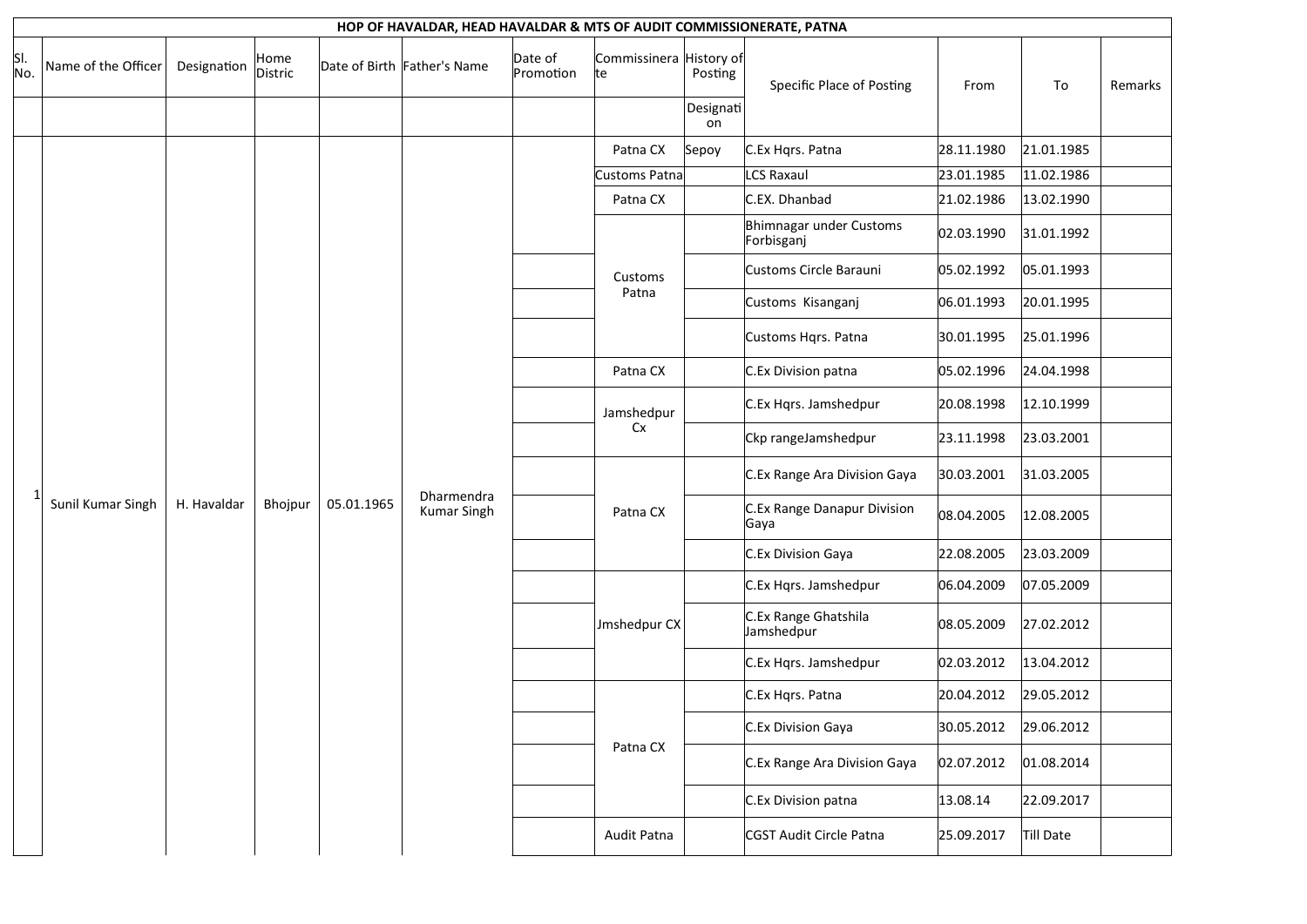|            | HOP OF HAVALDAR, HEAD HAVALDAR & MTS OF AUDIT COMMISSIONERATE, PATNA |             |                 |            |                                  |                      |                                |                 |                                       |            |            |         |  |  |
|------------|----------------------------------------------------------------------|-------------|-----------------|------------|----------------------------------|----------------------|--------------------------------|-----------------|---------------------------------------|------------|------------|---------|--|--|
| SI.<br>No. | Name of the Officer                                                  | Designation | Home<br>Distric |            | Date of Birth Father's Name      | Date of<br>Promotion | Commissinera History of<br>lte | Posting         | Specific Place of Posting             | From       | To         | Remarks |  |  |
|            |                                                                      |             |                 |            |                                  |                      |                                | Designati<br>on |                                       |            |            |         |  |  |
|            |                                                                      |             |                 |            |                                  |                      | Patna CX                       | Sepoy           | C.Ex Hqrs. Patna                      | 28.11.1980 | 21.01.1985 |         |  |  |
|            |                                                                      |             |                 |            |                                  |                      | Customs Patna                  |                 | LCS Raxaul                            | 23.01.1985 | 11.02.1986 |         |  |  |
|            |                                                                      |             |                 |            |                                  |                      | Patna CX                       |                 | C.EX. Dhanbad                         | 21.02.1986 | 13.02.1990 |         |  |  |
|            |                                                                      |             |                 |            |                                  |                      |                                |                 | Bhimnagar under Customs<br>Forbisganj | 02.03.1990 | 31.01.1992 |         |  |  |
|            | Sunil Kumar Singh                                                    |             |                 |            | Dharmendra<br><b>Kumar Singh</b> |                      | Customs<br>Patna               |                 | Customs Circle Barauni                | 05.02.1992 | 05.01.1993 |         |  |  |
|            |                                                                      |             |                 | 05.01.1965 |                                  |                      |                                |                 | Customs Kisanganj                     | 06.01.1993 | 20.01.1995 |         |  |  |
|            |                                                                      |             |                 |            |                                  |                      |                                |                 | Customs Hqrs. Patna                   | 30.01.1995 | 25.01.1996 |         |  |  |
|            |                                                                      |             |                 |            |                                  |                      | Patna CX                       |                 | C.Ex Division patna                   | 05.02.1996 | 24.04.1998 |         |  |  |
|            |                                                                      |             |                 |            |                                  |                      | Jamshedpur                     |                 | C.Ex Hqrs. Jamshedpur                 | 20.08.1998 | 12.10.1999 |         |  |  |
|            |                                                                      |             |                 |            |                                  |                      | Cx                             |                 | Ckp rangeJamshedpur                   | 23.11.1998 | 23.03.2001 |         |  |  |
|            |                                                                      |             |                 |            |                                  |                      |                                |                 | C.Ex Range Ara Division Gaya          | 30.03.2001 | 31.03.2005 |         |  |  |
|            |                                                                      | H. Havaldar | Bhojpur         |            |                                  |                      | Patna CX                       |                 | C.Ex Range Danapur Division<br>Gaya   | 08.04.2005 | 12.08.2005 |         |  |  |
|            |                                                                      |             |                 |            |                                  |                      |                                |                 | C.Ex Division Gaya                    | 22.08.2005 | 23.03.2009 |         |  |  |
|            |                                                                      |             |                 |            |                                  |                      |                                |                 | C.Ex Hqrs. Jamshedpur                 | 06.04.2009 | 07.05.2009 |         |  |  |
|            |                                                                      |             |                 |            |                                  |                      | Jmshedpur CX                   |                 | C.Ex Range Ghatshila<br>Jamshedpur    | 08.05.2009 | 27.02.2012 |         |  |  |
|            |                                                                      |             |                 |            |                                  |                      |                                |                 | C.Ex Hqrs. Jamshedpur                 | 02.03.2012 | 13.04.2012 |         |  |  |
|            |                                                                      |             |                 |            |                                  |                      |                                |                 | C.Ex Hqrs. Patna                      | 20.04.2012 | 29.05.2012 |         |  |  |
|            |                                                                      |             |                 |            |                                  |                      |                                |                 | C.Ex Division Gaya                    | 30.05.2012 | 29.06.2012 |         |  |  |
|            |                                                                      |             |                 |            |                                  |                      | Patna CX                       |                 | C.Ex Range Ara Division Gaya          | 02.07.2012 | 01.08.2014 |         |  |  |
|            |                                                                      |             |                 |            |                                  |                      |                                |                 | C.Ex Division patna                   | 13.08.14   | 22.09.2017 |         |  |  |
|            |                                                                      |             |                 |            |                                  |                      | Audit Patna                    |                 | CGST Audit Circle Patna               | 25.09.2017 | Till Date  |         |  |  |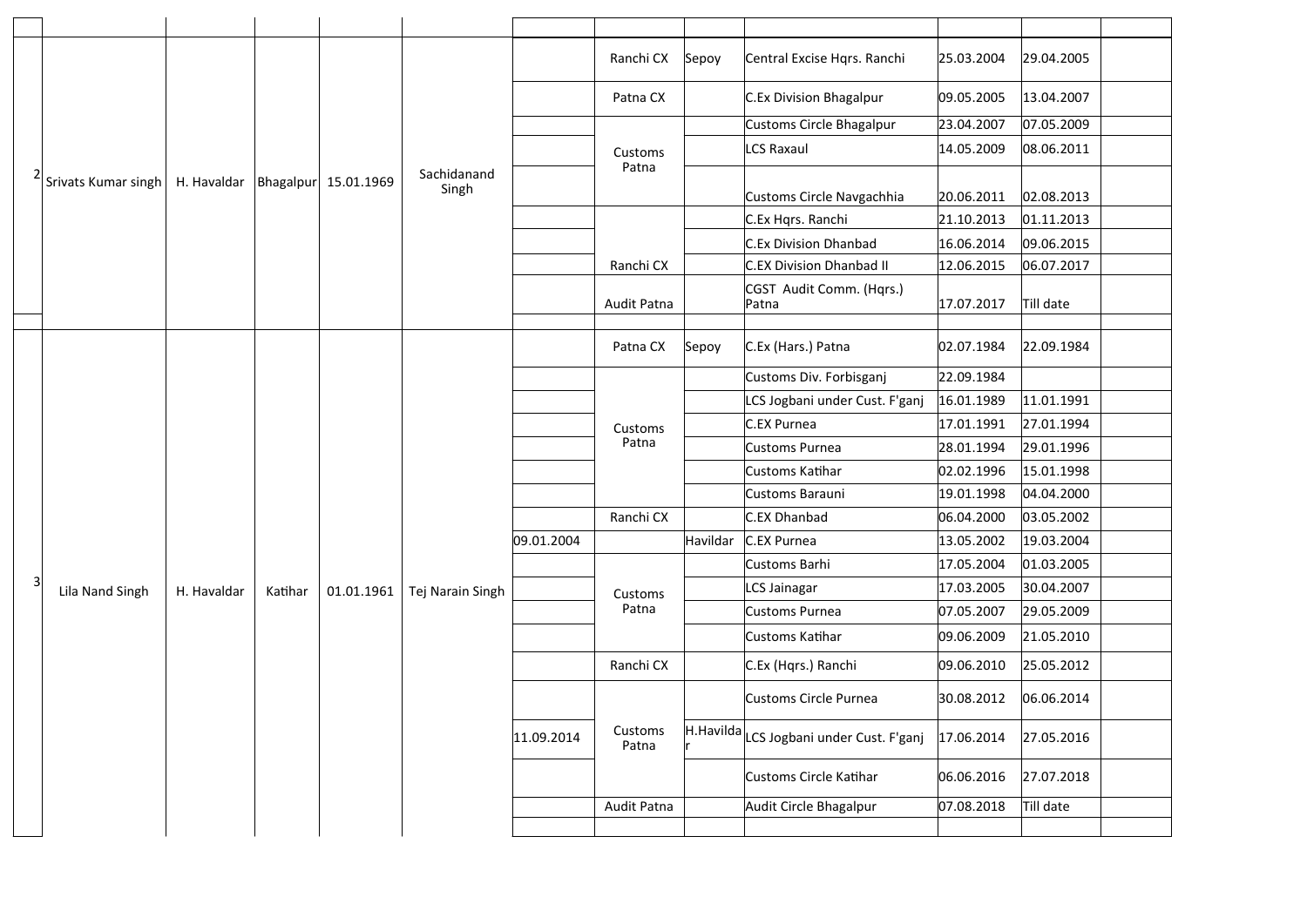|   |                     |             |         |                      |                      |            | Ranchi CX        | Sepoy    | Central Excise Hqrs. Ranchi              | 25.03.2004 | 29.04.2005 |
|---|---------------------|-------------|---------|----------------------|----------------------|------------|------------------|----------|------------------------------------------|------------|------------|
|   |                     |             |         |                      |                      |            | Patna CX         |          | C.Ex Division Bhagalpur                  | 09.05.2005 | 13.04.2007 |
|   |                     |             |         |                      |                      |            |                  |          | Customs Circle Bhagalpur                 | 23.04.2007 | 07.05.2009 |
|   |                     |             |         |                      |                      |            | Customs          |          | <b>LCS Raxaul</b>                        | 14.05.2009 | 08.06.2011 |
|   | Srivats Kumar singh | H. Havaldar |         | Bhagalpur 15.01.1969 | Sachidanand<br>Singh |            | Patna            |          | Customs Circle Navgachhia                | 20.06.2011 | 02.08.2013 |
|   |                     |             |         |                      |                      |            |                  |          | C.Ex Hqrs. Ranchi                        | 21.10.2013 | 01.11.2013 |
|   |                     |             |         |                      |                      |            |                  |          | C.Ex Division Dhanbad                    | 16.06.2014 | 09.06.2015 |
|   |                     |             |         |                      |                      |            | Ranchi CX        |          | C.EX Division Dhanbad II                 | 12.06.2015 | 06.07.2017 |
|   |                     |             |         |                      |                      |            | Audit Patna      |          | CGST Audit Comm. (Hqrs.)<br>Patna        | 17.07.2017 | Till date  |
|   |                     |             |         |                      |                      |            |                  |          |                                          |            |            |
|   |                     |             |         | 01.01.1961           |                      |            | Patna CX         | Sepoy    | C.Ex (Hars.) Patna                       | 02.07.1984 | 22.09.1984 |
|   |                     |             |         |                      |                      |            |                  |          | Customs Div. Forbisganj                  | 22.09.1984 |            |
|   |                     |             |         |                      |                      |            |                  |          | LCS Jogbani under Cust. F'ganj           | 16.01.1989 | 11.01.1991 |
|   |                     |             |         |                      |                      |            | Customs          |          | C.EX Purnea                              | 17.01.1991 | 27.01.1994 |
|   |                     |             | Katihar |                      |                      |            | Patna            |          | Customs Purnea                           | 28.01.1994 | 29.01.1996 |
|   |                     | H. Havaldar |         |                      |                      |            |                  |          | Customs Katihar                          | 02.02.1996 | 15.01.1998 |
|   |                     |             |         |                      |                      |            |                  |          | Customs Barauni                          | 19.01.1998 | 04.04.2000 |
|   |                     |             |         |                      |                      |            | Ranchi CX        |          | C.EX Dhanbad                             | 06.04.2000 | 03.05.2002 |
|   |                     |             |         |                      |                      | 09.01.2004 |                  | Havildar | C.EX Purnea                              | 13.05.2002 | 19.03.2004 |
|   |                     |             |         |                      |                      |            |                  |          | Customs Barhi                            | 17.05.2004 | 01.03.2005 |
| 3 | Lila Nand Singh     |             |         |                      | Tej Narain Singh     |            | Customs          |          | LCS Jainagar                             | 17.03.2005 | 30.04.2007 |
|   |                     |             |         |                      |                      |            | Patna            |          | Customs Purnea                           | 07.05.2007 | 29.05.2009 |
|   |                     |             |         |                      |                      |            |                  |          | Customs Katihar                          | 09.06.2009 | 21.05.2010 |
|   |                     |             |         |                      |                      |            | Ranchi CX        |          | C.Ex (Hqrs.) Ranchi                      | 09.06.2010 | 25.05.2012 |
|   |                     |             |         |                      |                      |            |                  |          | Customs Circle Purnea                    | 30.08.2012 | 06.06.2014 |
|   |                     |             |         |                      |                      | 11.09.2014 | Customs<br>Patna |          | H.Havilda LCS Jogbani under Cust. F'ganj | 17.06.2014 | 27.05.2016 |
|   |                     |             |         |                      |                      |            |                  |          | Customs Circle Katihar                   | 06.06.2016 | 27.07.2018 |
|   |                     |             |         |                      |                      |            | Audit Patna      |          | Audit Circle Bhagalpur                   | 07.08.2018 | Till date  |
|   |                     |             |         |                      |                      |            |                  |          |                                          |            |            |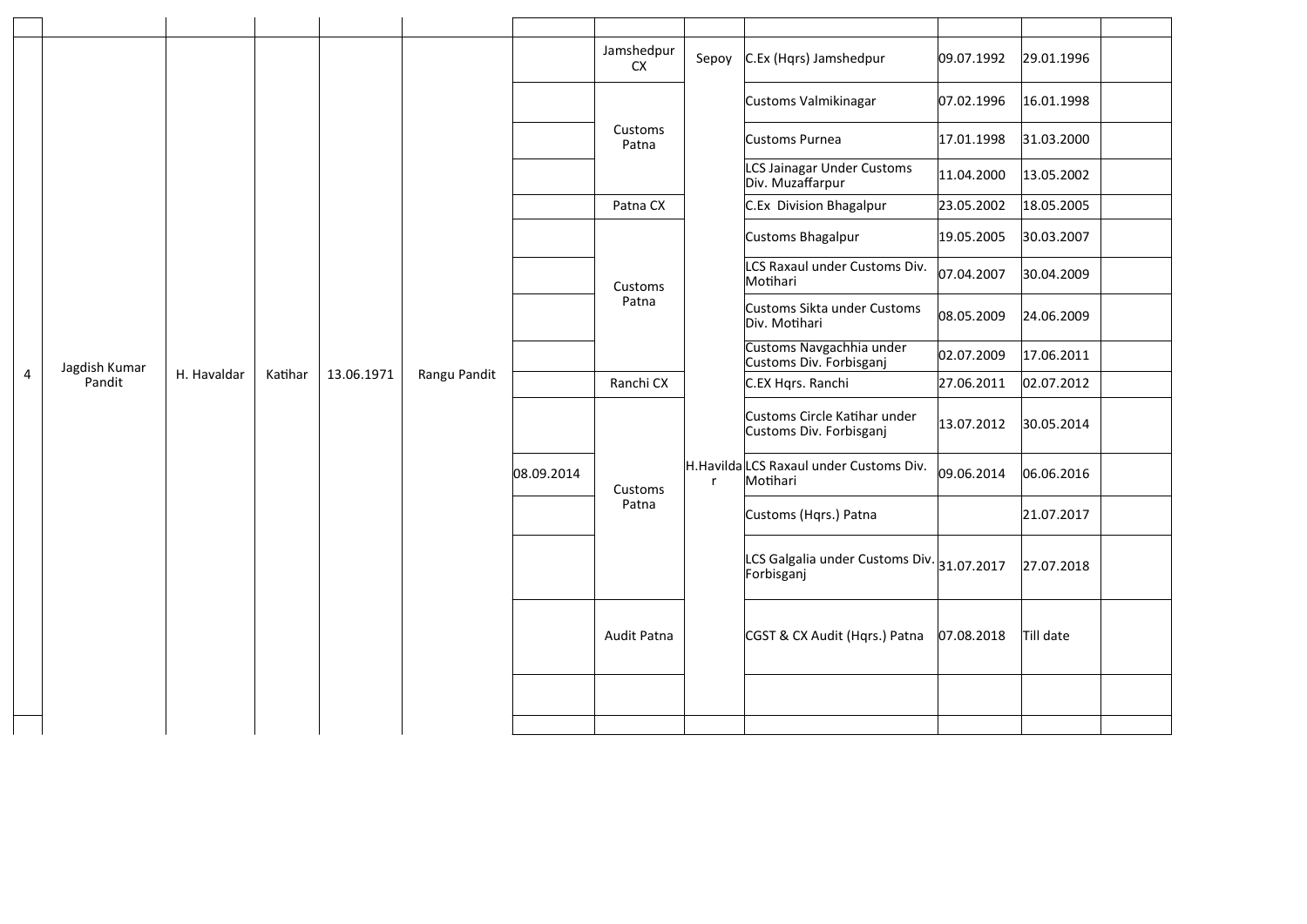|                |                         |             |         |                  |              |                                                     | Jamshedpur<br><b>CX</b> | Sepoy        | C.Ex (Hqrs) Jamshedpur                                   | 09.07.1992 | 29.01.1996 |  |
|----------------|-------------------------|-------------|---------|------------------|--------------|-----------------------------------------------------|-------------------------|--------------|----------------------------------------------------------|------------|------------|--|
|                |                         |             |         |                  |              |                                                     |                         |              | Customs Valmikinagar                                     | 07.02.1996 | 16.01.1998 |  |
|                |                         |             |         |                  |              |                                                     | Customs<br>Patna        |              | Customs Purnea                                           | 17.01.1998 | 31.03.2000 |  |
|                |                         |             |         |                  |              |                                                     |                         |              | LCS Jainagar Under Customs<br>Div. Muzaffarpur           | 11.04.2000 | 13.05.2002 |  |
|                | Jagdish Kumar<br>Pandit |             |         |                  |              |                                                     | Patna CX                |              | C.Ex Division Bhagalpur                                  | 23.05.2002 | 18.05.2005 |  |
|                |                         | H. Havaldar |         |                  |              |                                                     |                         |              | Customs Bhagalpur                                        | 19.05.2005 | 30.03.2007 |  |
|                |                         |             |         | Customs<br>Patna |              |                                                     |                         |              | LCS Raxaul under Customs Div.<br>Motihari                | 07.04.2007 | 30.04.2009 |  |
|                |                         |             |         |                  |              |                                                     |                         |              | Customs Sikta under Customs<br>Div. Motihari             | 08.05.2009 | 24.06.2009 |  |
|                |                         |             |         |                  |              | Customs Navgachhia under<br>Customs Div. Forbisganj | 02.07.2009              | 17.06.2011   |                                                          |            |            |  |
| $\overline{4}$ |                         |             | Katihar | 13.06.1971       | Rangu Pandit |                                                     | Ranchi CX               | $\mathsf{r}$ | C.EX Hqrs. Ranchi                                        | 27.06.2011 | 02.07.2012 |  |
|                |                         |             |         |                  |              |                                                     | Customs                 |              | Customs Circle Katihar under<br>Customs Div. Forbisganj  | 13.07.2012 | 30.05.2014 |  |
|                |                         |             |         |                  |              | 08.09.2014                                          |                         |              | H.Havilda LCS Raxaul under Customs Div.<br>Motihari      | 09.06.2014 | 06.06.2016 |  |
|                |                         |             |         |                  |              |                                                     | Patna                   |              | Customs (Hqrs.) Patna                                    |            | 21.07.2017 |  |
|                |                         |             |         |                  |              |                                                     |                         |              | LCS Galgalia under Customs Div. 31.07.2017<br>Forbisganj |            | 27.07.2018 |  |
|                |                         |             |         |                  |              |                                                     | Audit Patna             |              | CGST & CX Audit (Hqrs.) Patna                            | 07.08.2018 | Till date  |  |
|                |                         |             |         |                  |              |                                                     |                         |              |                                                          |            |            |  |
|                |                         |             |         |                  |              |                                                     |                         |              |                                                          |            |            |  |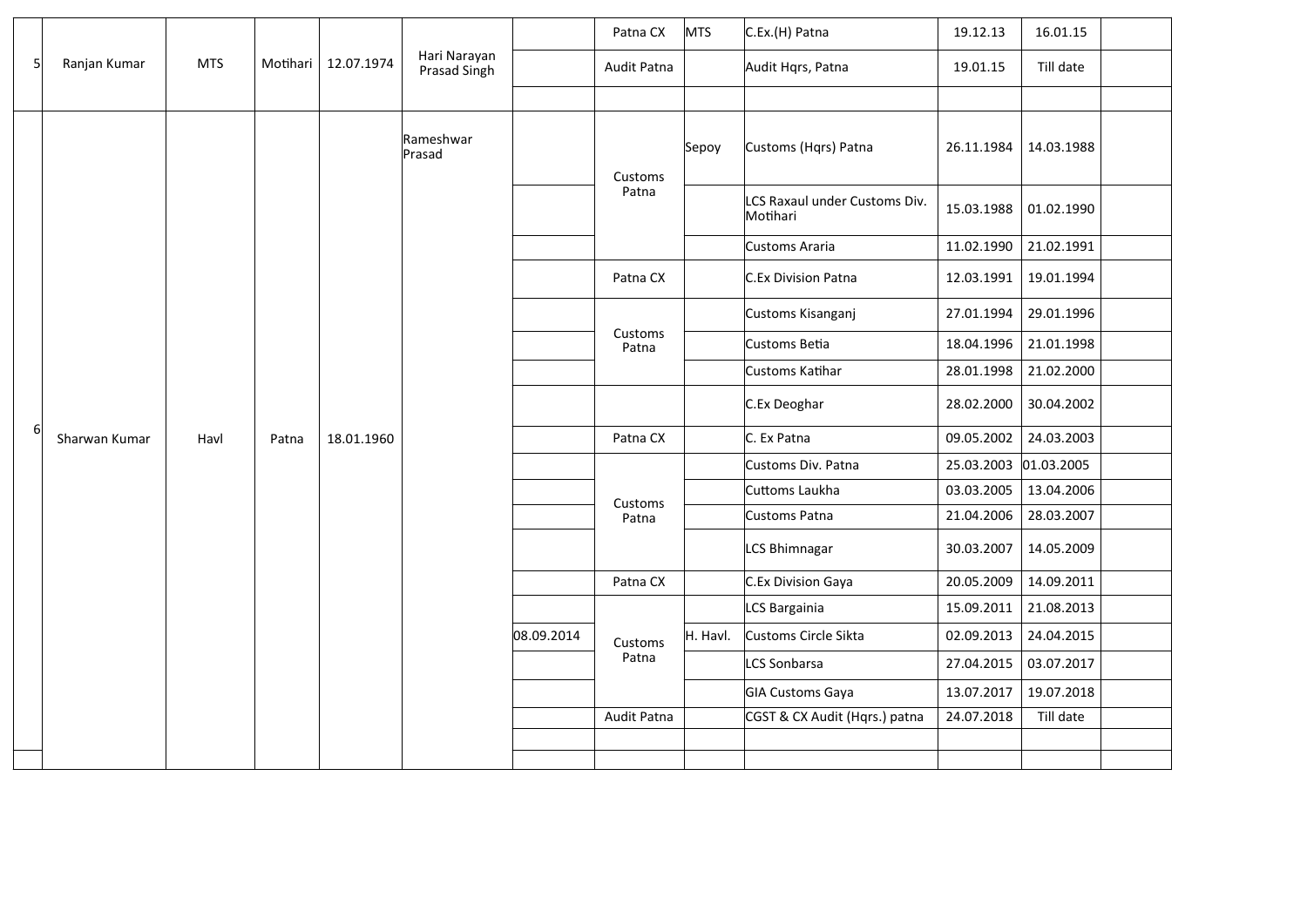|              |               |            |       | Motihari   12.07.1974 |                              |            | Patna CX         | <b>MTS</b> | C.Ex.(H) Patna                            | 19.12.13              | 16.01.15   |  |
|--------------|---------------|------------|-------|-----------------------|------------------------------|------------|------------------|------------|-------------------------------------------|-----------------------|------------|--|
| $\mathsf{S}$ | Ranjan Kumar  | <b>MTS</b> |       |                       | Hari Narayan<br>Prasad Singh |            | Audit Patna      |            | Audit Hqrs, Patna                         | 19.01.15              | Till date  |  |
|              |               |            |       |                       |                              |            |                  |            |                                           |                       |            |  |
|              |               |            |       |                       | Rameshwar<br>Prasad          |            | Customs          | Sepoy      | Customs (Hqrs) Patna                      | 26.11.1984            | 14.03.1988 |  |
|              | Sharwan Kumar |            |       |                       |                              |            | Patna            |            | LCS Raxaul under Customs Div.<br>Motihari | 15.03.1988            | 01.02.1990 |  |
|              |               |            |       |                       |                              |            |                  |            | Customs Araria                            | 11.02.1990            | 21.02.1991 |  |
|              |               |            |       | 18.01.1960            |                              |            | Patna CX         |            | C.Ex Division Patna                       | 12.03.1991            | 19.01.1994 |  |
|              |               |            |       |                       |                              |            | Customs<br>Patna |            | Customs Kisanganj                         | 27.01.1994            | 29.01.1996 |  |
|              |               |            |       |                       |                              |            |                  |            | Customs Betia                             | 18.04.1996            | 21.01.1998 |  |
|              |               |            |       |                       |                              |            |                  |            | Customs Katihar                           | 28.01.1998            | 21.02.2000 |  |
|              |               |            |       |                       |                              |            |                  |            | C.Ex Deoghar                              | 28.02.2000            | 30.04.2002 |  |
| $6 \mid$     |               | Havl       | Patna |                       |                              |            | Patna CX         |            | C. Ex Patna                               | 09.05.2002            | 24.03.2003 |  |
|              |               |            |       |                       |                              |            | Customs<br>Patna |            | Customs Div. Patna                        | 25.03.2003 01.03.2005 |            |  |
|              |               |            |       |                       |                              |            |                  |            | Cuttoms Laukha                            | 03.03.2005            | 13.04.2006 |  |
|              |               |            |       |                       |                              |            |                  |            | <b>Customs Patna</b>                      | 21.04.2006            | 28.03.2007 |  |
|              |               |            |       |                       |                              |            |                  |            | LCS Bhimnagar                             | 30.03.2007            | 14.05.2009 |  |
|              |               |            |       |                       |                              |            | Patna CX         |            | C.Ex Division Gaya                        | 20.05.2009            | 14.09.2011 |  |
|              |               |            |       |                       |                              |            |                  |            | LCS Bargainia                             | 15.09.2011            | 21.08.2013 |  |
|              |               |            |       |                       |                              | 08.09.2014 | Customs          | H. Havl.   | Customs Circle Sikta                      | 02.09.2013            | 24.04.2015 |  |
|              |               |            |       |                       |                              |            | Patna            |            | LCS Sonbarsa                              | 27.04.2015            | 03.07.2017 |  |
|              |               |            |       |                       |                              |            |                  |            | GIA Customs Gaya                          | 13.07.2017            | 19.07.2018 |  |
|              |               |            |       |                       |                              |            | Audit Patna      |            | CGST & CX Audit (Hqrs.) patna             | 24.07.2018            | Till date  |  |
|              |               |            |       |                       |                              |            |                  |            |                                           |                       |            |  |
|              |               |            |       |                       |                              |            |                  |            |                                           |                       |            |  |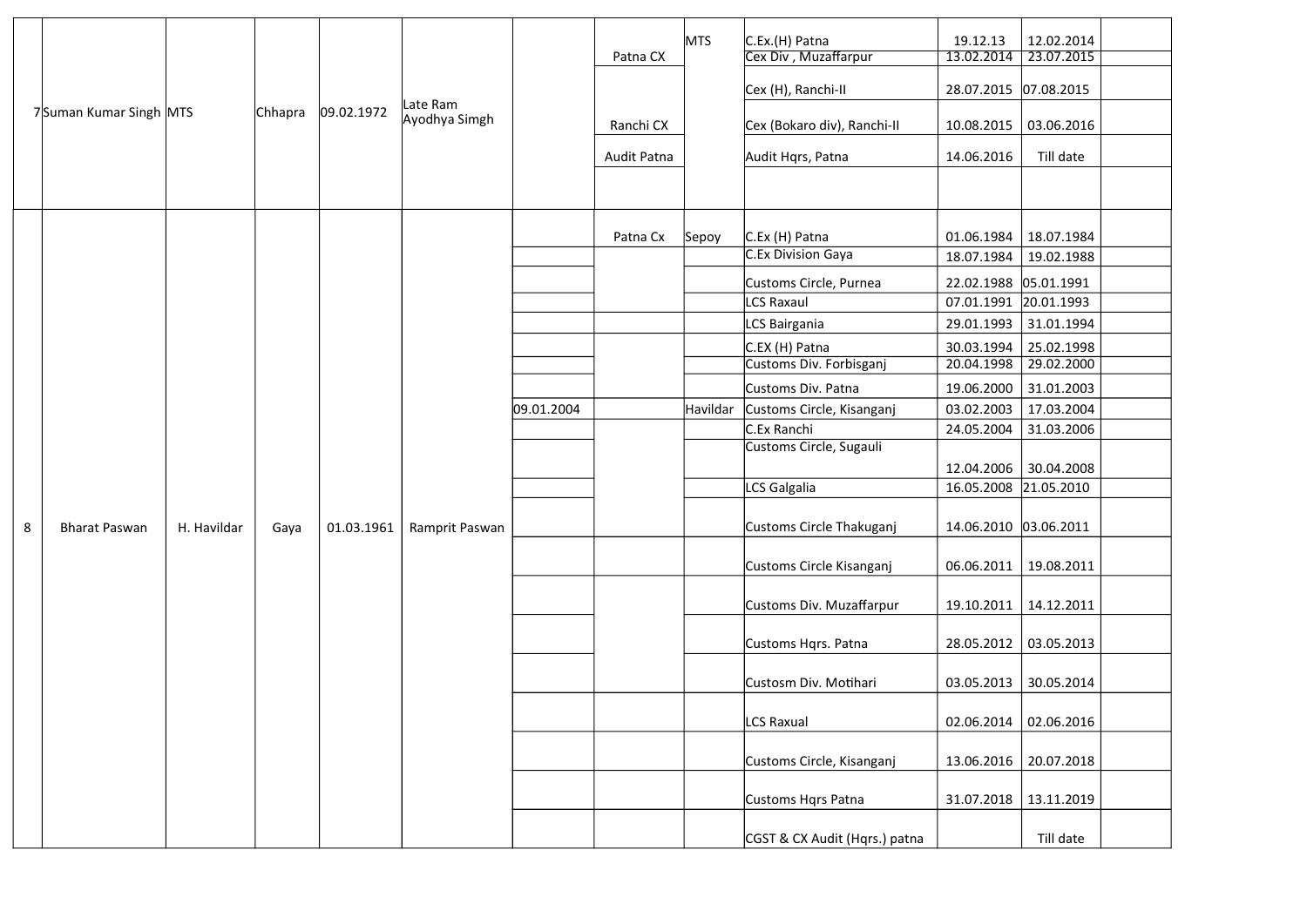|   |                        |             |         |            |                           |            |             | <b>MTS</b> | C.Ex.(H) Patna                | 19.12.13              | 12.02.2014 |
|---|------------------------|-------------|---------|------------|---------------------------|------------|-------------|------------|-------------------------------|-----------------------|------------|
|   |                        |             |         |            |                           |            | Patna CX    |            | Cex Div, Muzaffarpur          | 13.02.2014            | 23.07.2015 |
|   |                        |             |         |            |                           |            |             |            | Cex (H), Ranchi-II            | 28.07.2015 07.08.2015 |            |
|   | 7Suman Kumar Singh MTS |             | Chhapra | 09.02.1972 | Late Ram<br>Ayodhya Simgh |            | Ranchi CX   |            | Cex (Bokaro div), Ranchi-II   | 10.08.2015            | 03.06.2016 |
|   |                        |             |         |            |                           |            | Audit Patna |            | Audit Hqrs, Patna             | 14.06.2016            | Till date  |
|   |                        |             |         |            |                           |            |             |            |                               |                       |            |
|   |                        |             |         |            |                           |            | Patna Cx    | Sepoy      | C.Ex (H) Patna                | 01.06.1984            | 18.07.1984 |
|   |                        |             |         |            |                           |            |             |            | C.Ex Division Gaya            | 18.07.1984            | 19.02.1988 |
|   |                        |             |         |            |                           |            |             |            | Customs Circle, Purnea        | 22.02.1988 05.01.1991 |            |
|   |                        |             |         |            |                           |            |             |            | LCS Raxaul                    | 07.01.1991 20.01.1993 |            |
|   |                        |             |         |            |                           |            |             |            | LCS Bairgania                 | 29.01.1993            | 31.01.1994 |
|   |                        |             |         |            |                           |            |             |            | C.EX (H) Patna                | 30.03.1994            | 25.02.1998 |
|   |                        |             |         | 01.03.1961 |                           |            |             |            | Customs Div. Forbisganj       | 20.04.1998            | 29.02.2000 |
|   |                        |             |         |            |                           |            |             |            | Customs Div. Patna            | 19.06.2000            | 31.01.2003 |
|   |                        |             |         |            |                           | 09.01.2004 |             | Havildar   | Customs Circle, Kisanganj     | 03.02.2003            | 17.03.2004 |
|   |                        |             |         |            |                           |            |             |            | C.Ex Ranchi                   | 24.05.2004            | 31.03.2006 |
|   |                        |             |         |            |                           |            |             |            | Customs Circle, Sugauli       | 12.04.2006            | 30.04.2008 |
|   |                        |             |         |            |                           |            |             |            | LCS Galgalia                  | 16.05.2008 21.05.2010 |            |
|   |                        |             | Gaya    |            |                           |            |             |            |                               |                       |            |
| 8 | <b>Bharat Paswan</b>   | H. Havildar |         |            | Ramprit Paswan            |            |             |            | Customs Circle Thakuganj      | 14.06.2010 03.06.2011 |            |
|   |                        |             |         |            |                           |            |             |            | Customs Circle Kisanganj      | 06.06.2011            | 19.08.2011 |
|   |                        |             |         |            |                           |            |             |            | Customs Div. Muzaffarpur      | 19.10.2011            | 14.12.2011 |
|   |                        |             |         |            |                           |            |             |            | Customs Hqrs. Patna           | 28.05.2012            | 03.05.2013 |
|   |                        |             |         |            |                           |            |             |            | Custosm Div. Motihari         | 03.05.2013            | 30.05.2014 |
|   |                        |             |         |            |                           |            |             |            | LCS Raxual                    | 02.06.2014            | 02.06.2016 |
|   |                        |             |         |            |                           |            |             |            | Customs Circle, Kisanganj     | 13.06.2016            | 20.07.2018 |
|   |                        |             |         |            |                           |            |             |            | Customs Hqrs Patna            | 31.07.2018            | 13.11.2019 |
|   |                        |             |         |            |                           |            |             |            | CGST & CX Audit (Hqrs.) patna |                       | Till date  |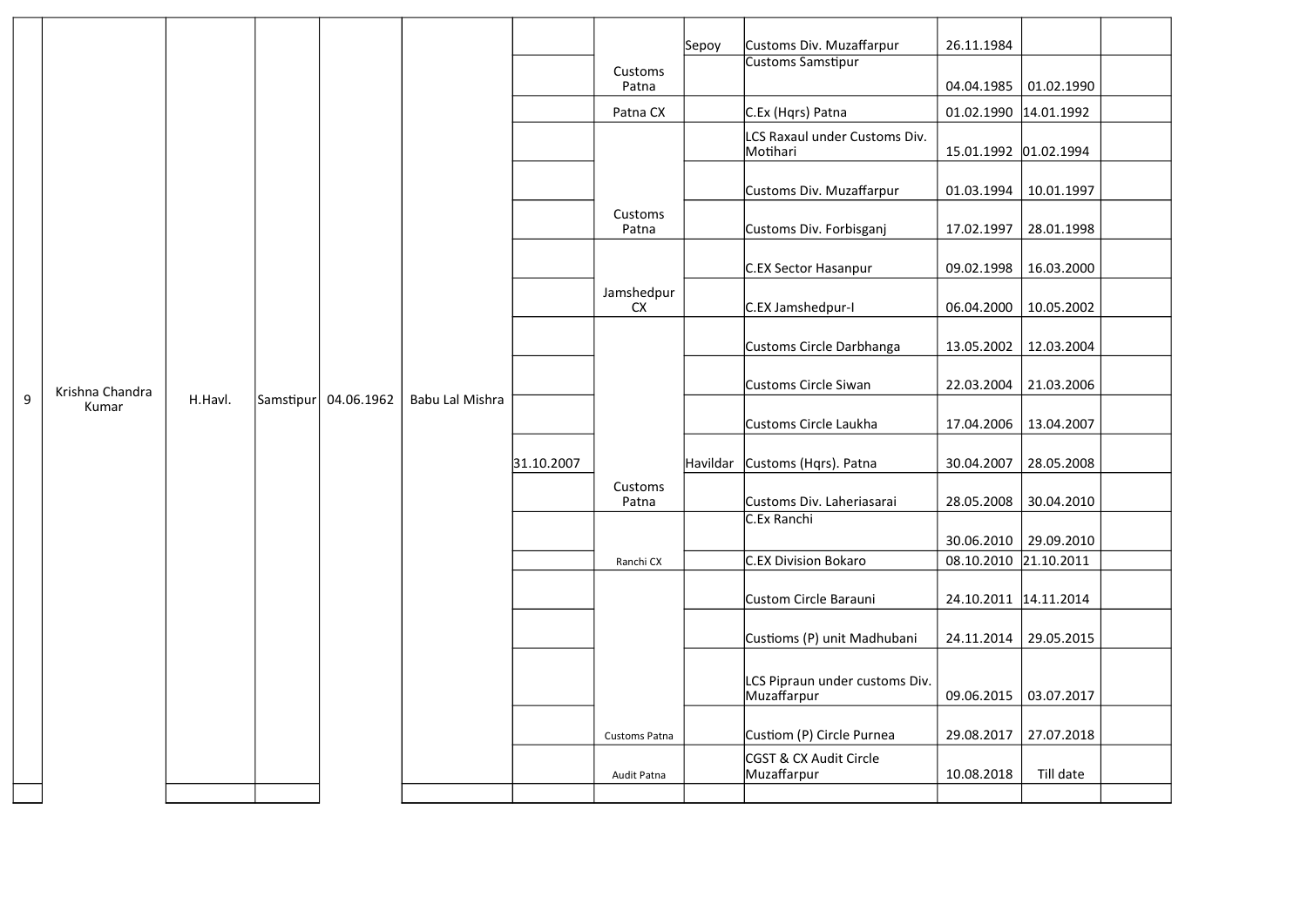|   |                          |         |           |            |                 |            |                         | Sepoy    | Customs Div. Muzaffarpur              | 26.11.1984                          |            |  |
|---|--------------------------|---------|-----------|------------|-----------------|------------|-------------------------|----------|---------------------------------------|-------------------------------------|------------|--|
|   |                          |         |           |            |                 |            | Customs<br>Patna        |          | Customs Samstipur                     | 04.04.1985                          | 01.02.1990 |  |
|   |                          |         |           |            |                 |            | Patna CX                |          | C.Ex (Hqrs) Patna                     | 01.02.1990 14.01.1992               |            |  |
|   |                          |         |           |            |                 |            |                         |          | LCS Raxaul under Customs Div.         |                                     |            |  |
|   |                          |         |           |            |                 |            |                         |          | Motihari                              | 15.01.1992 01.02.1994               |            |  |
|   |                          |         |           |            |                 |            |                         |          | Customs Div. Muzaffarpur              | 01.03.1994                          | 10.01.1997 |  |
|   |                          |         |           |            |                 |            | Customs<br>Patna        |          | Customs Div. Forbisganj               | 17.02.1997                          | 28.01.1998 |  |
|   |                          | H.Havl. |           |            | Babu Lal Mishra |            |                         |          | C.EX Sector Hasanpur                  | 09.02.1998                          | 16.03.2000 |  |
|   |                          |         |           | 04.06.1962 |                 |            | Jamshedpur<br><b>CX</b> |          | C.EX Jamshedpur-I                     | 06.04.2000                          | 10.05.2002 |  |
|   |                          |         |           |            |                 |            |                         |          | Customs Circle Darbhanga              | 13.05.2002                          | 12.03.2004 |  |
|   | Krishna Chandra<br>Kumar |         |           |            |                 |            |                         |          | Customs Circle Siwan                  | 22.03.2004                          | 21.03.2006 |  |
| 9 |                          |         | Samstipur |            |                 |            |                         |          | Customs Circle Laukha                 | 17.04.2006                          | 13.04.2007 |  |
|   |                          |         |           |            |                 | 31.10.2007 |                         | Havildar | Customs (Hqrs). Patna                 | 30.04.2007                          | 28.05.2008 |  |
|   |                          |         |           |            |                 |            | Customs<br>Patna        |          | Customs Div. Laheriasarai             | 28.05.2008                          | 30.04.2010 |  |
|   |                          |         |           |            |                 |            |                         |          | C.Ex Ranchi                           |                                     |            |  |
|   |                          |         |           |            |                 |            | Ranchi CX               |          | C.EX Division Bokaro                  | 30.06.2010<br>08.10.2010 21.10.2011 | 29.09.2010 |  |
|   |                          |         |           |            |                 |            |                         |          |                                       |                                     |            |  |
|   |                          |         |           |            |                 |            |                         |          | Custom Circle Barauni                 | 24.10.2011 14.11.2014               |            |  |
|   |                          |         |           |            |                 |            |                         |          | Custioms (P) unit Madhubani           | 24.11.2014                          | 29.05.2015 |  |
|   |                          |         |           |            |                 |            |                         |          | LCS Pipraun under customs Div.        |                                     |            |  |
|   |                          |         |           |            |                 |            |                         |          | Muzaffarpur                           | 09.06.2015                          | 03.07.2017 |  |
|   |                          |         |           |            |                 |            | Customs Patna           |          | Custiom (P) Circle Purnea             | 29.08.2017                          | 27.07.2018 |  |
|   |                          |         |           |            |                 |            | Audit Patna             |          | CGST & CX Audit Circle<br>Muzaffarpur | 10.08.2018                          | Till date  |  |
|   |                          |         |           |            |                 |            |                         |          |                                       |                                     |            |  |